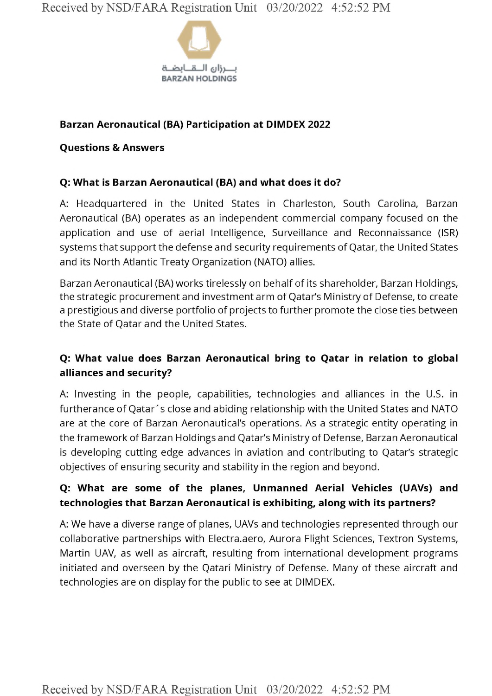

### **Barzan Aeronautical (BA) Participation at DIMDEX 2022**

#### **Questions & Answers**

### **Q: What is Barzan Aeronautical (BA) and what does it do?**

A: Headquartered in the United States in Charleston, South Carolina, Barzan Aeronautical (BA) operates as an independent commercial company focused on the application and use of aerial Intelligence, Surveillance and Reconnaissance (ISR) systems that support the defense and security requirements of Qatar, the United States and its North Atlantic Treaty Organization (NATO) allies.

Barzan Aeronautical (BA) works tirelessly on behalf of its shareholder, Barzan Holdings, the strategic procurement and investment arm of Qatar's Ministry of Defense, to create <sup>a</sup> prestigious and diverse portfolio of projects to further promote the close ties between the State of Qatar and the United States.

# **Q: What value does Barzan Aeronautical bring to Qatar in relation to global alliances and security?**

A: Investing in the people, capabilities, technologies and alliances in the U.S. in furtherance of Qatar's close and abiding relationship with the United States and NATO are at the core of Barzan Aeronautical's operations. As <sup>a</sup> strategic entity operating in the framework of Barzan Holdings and Qatar's Ministry of Defense, Barzan Aeronautical is developing cutting edge advances in aviation and contributing to Qatar's strategic objectives of ensuring security and stability in the region and beyond.

# **Q: What are some of the planes. Unmanned Aerial Vehicles (UAVs) and technologies that Barzan Aeronautical is exhibiting, along with its partners?**

A: We have a diverse range of planes, UAVs and technologies represented through our collaborative partnerships with Electra.aero, Aurora Flight Sciences, Textron Systems, Martin UAV, as well as aircraft, resulting from international development programs initiated and overseen by the Qatari Ministry of Defense. Many of these aircraft and technologies are on display for the public to see at DIMDEX.